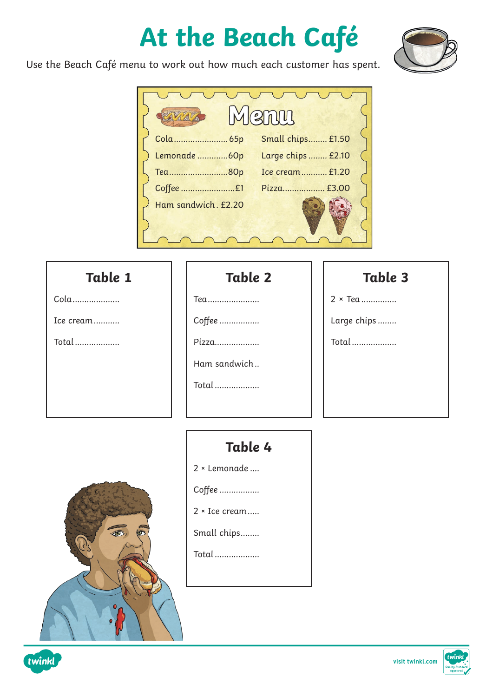# **At the Beach Café**



Use the Beach Café menu to work out how much each customer has spent.

|                     | <b>RAMI</b>        |  |
|---------------------|--------------------|--|
|                     | Small chips £1.50  |  |
| Lemonade  60p       | Large chips  £2.10 |  |
| Tea80p              | Ice cream £1.20    |  |
|                     | Pizza £3.00        |  |
| Ham sandwich. £2.20 |                    |  |
|                     |                    |  |
|                     |                    |  |

#### **Table 1**

Cola....................

Ice cream...........

Total...................

### **Table 2**

Tea......................

Coffee .................

Pizza...................

Ham sandwich..

Total...................

#### **Table 3**

2 × Tea ...............

Large chips ........

Total...................



twinkl

## **Table 4**

2 × Lemonade ....

Coffee .................

2 × Ice cream.....

Small chips........

Total...................

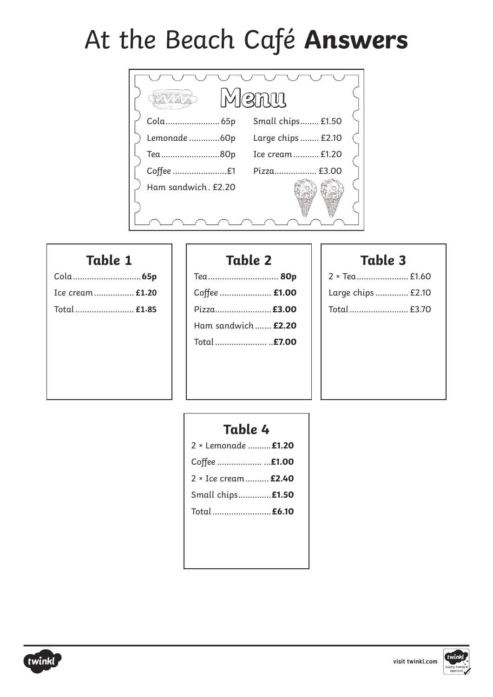# At the Beach Café **Answers**



#### **Table 1**

| Cola 65p         |
|------------------|
| Ice cream  £1.20 |
| Total £1.85      |
|                  |
|                  |
|                  |
|                  |
|                  |

## **Table 2**

| Теа 80р                   |  |
|---------------------------|--|
| Coffee  £1.00             |  |
| Pizza £3.00               |  |
| Ham sandwich <b>£2.20</b> |  |
| Total <b>£7.00</b>        |  |
|                           |  |

#### **Table 3**

| 2 × Tea £1.60      |
|--------------------|
| Large chips  £2.10 |
| Total  £3.70       |
|                    |
|                    |
|                    |
|                    |

## **Table 4**

| 2 × Lemonade  £1.20  |  |
|----------------------|--|
| Coffee  £1.00        |  |
| 2 × Ice cream  £2.40 |  |
| Small chips £1.50    |  |
| Total  £6.10         |  |
|                      |  |



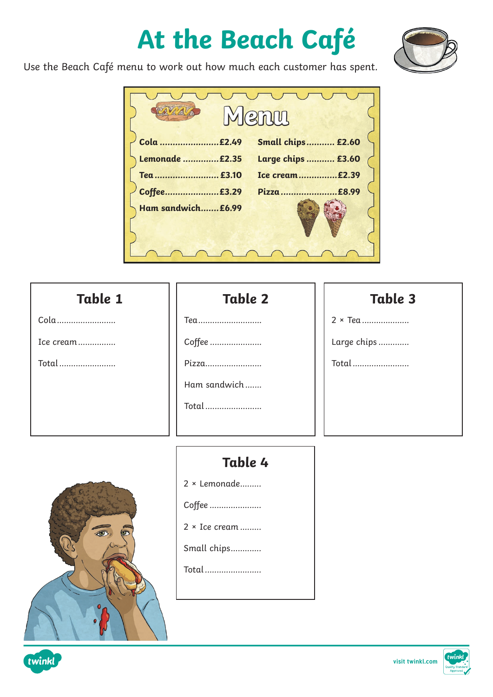# **At the Beach Café**



Use the Beach Café menu to work out how much each customer has spent.

|                    | <b>emm</b>               |
|--------------------|--------------------------|
| Cola £2.49         | <b>Small chips £2.60</b> |
| Lemonade £2.35     | Large chips  £3.60       |
| Tea  £3.10         | Ice cream£2.39           |
| Coffee£3.29        | £8.99<br>Pizza           |
| Ham sandwich £6.99 |                          |
|                    |                          |
|                    |                          |

#### **Table 2** Tea............................ Coffee ...................... Pizza........................ Ham sandwich....... Total........................ **Table 4** 2 × Lemonade......... Coffee ...................... 2 × Ice cream ......... **Table 1** Cola......................... Ice cream................ Total........................ **Table 3** 2 × Tea .................... Large chips ............. Total........................

Small chips.............

Total........................